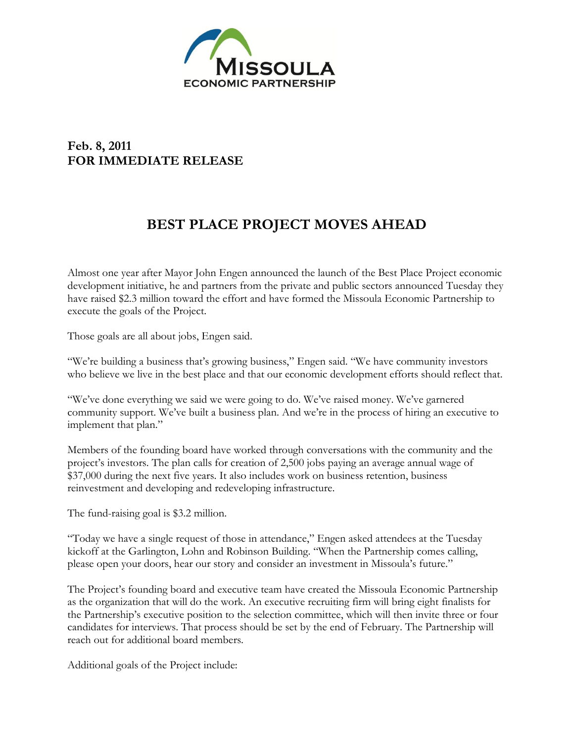

## **Feb. 8, 2011 FOR IMMEDIATE RELEASE**

## **BEST PLACE PROJECT MOVES AHEAD**

Almost one year after Mayor John Engen announced the launch of the Best Place Project economic development initiative, he and partners from the private and public sectors announced Tuesday they have raised \$2.3 million toward the effort and have formed the Missoula Economic Partnership to execute the goals of the Project.

Those goals are all about jobs, Engen said.

"We're building a business that's growing business," Engen said. "We have community investors who believe we live in the best place and that our economic development efforts should reflect that.

"We've done everything we said we were going to do. We've raised money. We've garnered community support. We've built a business plan. And we're in the process of hiring an executive to implement that plan."

Members of the founding board have worked through conversations with the community and the project's investors. The plan calls for creation of 2,500 jobs paying an average annual wage of \$37,000 during the next five years. It also includes work on business retention, business reinvestment and developing and redeveloping infrastructure.

The fund-raising goal is \$3.2 million.

"Today we have a single request of those in attendance," Engen asked attendees at the Tuesday kickoff at the Garlington, Lohn and Robinson Building. "When the Partnership comes calling, please open your doors, hear our story and consider an investment in Missoula's future."

The Project's founding board and executive team have created the Missoula Economic Partnership as the organization that will do the work. An executive recruiting firm will bring eight finalists for the Partnership's executive position to the selection committee, which will then invite three or four candidates for interviews. That process should be set by the end of February. The Partnership will reach out for additional board members.

Additional goals of the Project include: